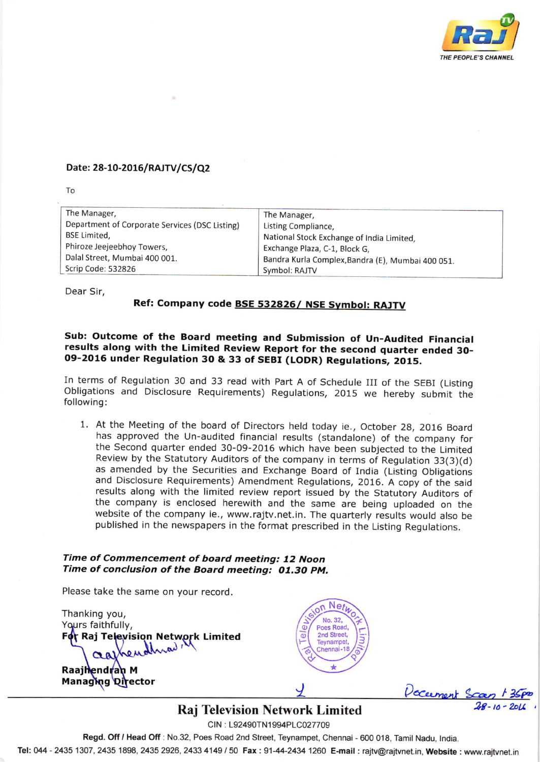

#### Date: 28-10-2016/RAJTV/CS/Q2

To

| The Manager,                                   | The Manager,                                      |  |  |  |  |
|------------------------------------------------|---------------------------------------------------|--|--|--|--|
| Department of Corporate Services (DSC Listing) | Listing Compliance,                               |  |  |  |  |
| <b>BSE Limited.</b>                            | National Stock Exchange of India Limited,         |  |  |  |  |
| Phiroze Jeejeebhoy Towers,                     | Exchange Plaza, C-1, Block G,                     |  |  |  |  |
| Dalal Street, Mumbai 400 001.                  | Bandra Kurla Complex, Bandra (E), Mumbai 400 051. |  |  |  |  |
| Scrip Code: 532826                             | Symbol: RAJTV                                     |  |  |  |  |

Dear Sir,

### Ref: Company code **BSE 532826/ NSE Symbol: RAJTV**

# sub: outcome of the Board meeting and submission of Un-Audited Financial results along with the Limited Review Report for the second quarter ended 30- 09-2016 under Regulation 3O & 33 of SEBI (LODR) Regulations, 2015.

In terms of Regulation 30 and 33 read with part A of schedule III of the SEBI (Listing Obligations and Disclosure Requirements) Regulations, 2015 we hereby submit the following:

<sup>1</sup> At the Meeting of the board of Directors held today ie., October 28, 2016 Board has approved the Un-audited financial results (standalone) of the company for the second quarter ended 30-09-2016 which have been subjected to the Limited Review by the Statutory Auditors of the company in terms of Regulation 33(3)(d) as amended by the Securities and Exchange Board of India (Listing Obligations and Disclosure Requirements) Amendment Regulations, 2016. A copy of the said the company is enclosed herewith and the same are being uploaded on the website of the company ie., www.rajtv.net.in. The quarterly results would also be published in the newspapers in the format prescribed in the Listing Regulations.

#### Time of Commencement of board meeting: 12 Noon Time of conclusion of the Board meeting: 01.30 PM.

Please take the same on your record.

Fo<mark>t</mark> Raj Television Network Limited Thanking you, Yours faithfully,

Raajh<mark>endr</mark>an M Managing Qirector



/' <u>Y</u> Vocement Scan 13<br>Raj Television Network Limited 28-10-20

CIN: L92490TN1994PLC027709 Regd. Off / Head Off: No.32, Poes Road 2nd Street, Teynampet, Chennai - 600 018, Tamil Nadu, India.

Tel: 044 - 2435 1307, 2435 1898, 2435 2926, 2433 4149 / 50 Fax : 91-44-2434 1260 E-mail : rajtv@rajtvnet.in, Website : www.rajtvnet.in